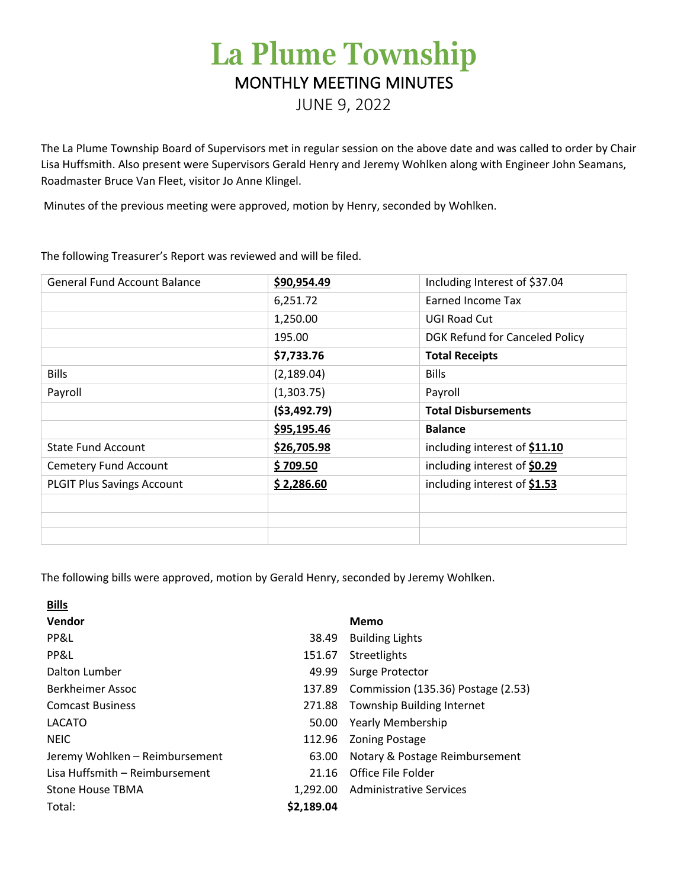# **La Plume Township** MONTHLY MEETING MINUTES

JUNE 9, 2022

The La Plume Township Board of Supervisors met in regular session on the above date and was called to order by Chair Lisa Huffsmith. Also present were Supervisors Gerald Henry and Jeremy Wohlken along with Engineer John Seamans, Roadmaster Bruce Van Fleet, visitor Jo Anne Klingel.

Minutes of the previous meeting were approved, motion by Henry, seconded by Wohlken.

The following Treasurer's Report was reviewed and will be filed.

| <b>General Fund Account Balance</b> | \$90,954.49   | Including Interest of \$37.04  |
|-------------------------------------|---------------|--------------------------------|
|                                     | 6,251.72      | Earned Income Tax              |
|                                     | 1,250.00      | <b>UGI Road Cut</b>            |
|                                     | 195.00        | DGK Refund for Canceled Policy |
|                                     | \$7,733.76    | <b>Total Receipts</b>          |
| <b>Bills</b>                        | (2, 189.04)   | <b>Bills</b>                   |
| Payroll                             | (1,303.75)    | Payroll                        |
|                                     | ( \$3,492.79) | <b>Total Disbursements</b>     |
|                                     | \$95,195.46   | <b>Balance</b>                 |
| <b>State Fund Account</b>           | \$26,705.98   | including interest of \$11.10  |
| <b>Cemetery Fund Account</b>        | \$709.50      | including interest of \$0.29   |
| <b>PLGIT Plus Savings Account</b>   | \$2,286.60    | including interest of \$1.53   |
|                                     |               |                                |
|                                     |               |                                |
|                                     |               |                                |

The following bills were approved, motion by Gerald Henry, seconded by Jeremy Wohlken.

| <b>Bills</b>                   |            |                                    |
|--------------------------------|------------|------------------------------------|
| Vendor                         |            | Memo                               |
| PP&L                           | 38.49      | <b>Building Lights</b>             |
| PP&L                           | 151.67     | Streetlights                       |
| Dalton Lumber                  | 49.99      | Surge Protector                    |
| Berkheimer Assoc               | 137.89     | Commission (135.36) Postage (2.53) |
| <b>Comcast Business</b>        | 271.88     | Township Building Internet         |
| LACATO                         | 50.00      | <b>Yearly Membership</b>           |
| <b>NEIC</b>                    | 112.96     | <b>Zoning Postage</b>              |
| Jeremy Wohlken - Reimbursement | 63.00      | Notary & Postage Reimbursement     |
| Lisa Huffsmith - Reimbursement | 21.16      | Office File Folder                 |
| Stone House TBMA               | 1.292.00   | <b>Administrative Services</b>     |
| Total:                         | \$2,189.04 |                                    |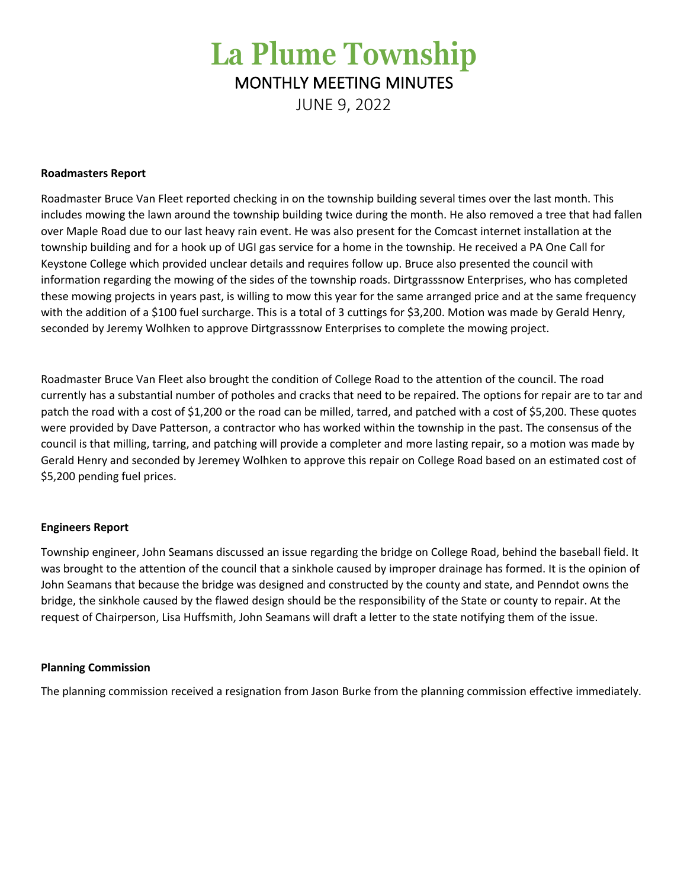# **La Plume Township** MONTHLY MEETING MINUTES

JUNE 9, 2022

### **Roadmasters Report**

Roadmaster Bruce Van Fleet reported checking in on the township building several times over the last month. This includes mowing the lawn around the township building twice during the month. He also removed a tree that had fallen over Maple Road due to our last heavy rain event. He was also present for the Comcast internet installation at the township building and for a hook up of UGI gas service for a home in the township. He received a PA One Call for Keystone College which provided unclear details and requires follow up. Bruce also presented the council with information regarding the mowing of the sides of the township roads. Dirtgrasssnow Enterprises, who has completed these mowing projects in years past, is willing to mow this year for the same arranged price and at the same frequency with the addition of a \$100 fuel surcharge. This is a total of 3 cuttings for \$3,200. Motion was made by Gerald Henry, seconded by Jeremy Wolhken to approve Dirtgrasssnow Enterprises to complete the mowing project.

Roadmaster Bruce Van Fleet also brought the condition of College Road to the attention of the council. The road currently has a substantial number of potholes and cracks that need to be repaired. The options for repair are to tar and patch the road with a cost of \$1,200 or the road can be milled, tarred, and patched with a cost of \$5,200. These quotes were provided by Dave Patterson, a contractor who has worked within the township in the past. The consensus of the council is that milling, tarring, and patching will provide a completer and more lasting repair, so a motion was made by Gerald Henry and seconded by Jeremey Wolhken to approve this repair on College Road based on an estimated cost of \$5,200 pending fuel prices.

#### **Engineers Report**

Township engineer, John Seamans discussed an issue regarding the bridge on College Road, behind the baseball field. It was brought to the attention of the council that a sinkhole caused by improper drainage has formed. It is the opinion of John Seamans that because the bridge was designed and constructed by the county and state, and Penndot owns the bridge, the sinkhole caused by the flawed design should be the responsibility of the State or county to repair. At the request of Chairperson, Lisa Huffsmith, John Seamans will draft a letter to the state notifying them of the issue.

### **Planning Commission**

The planning commission received a resignation from Jason Burke from the planning commission effective immediately.